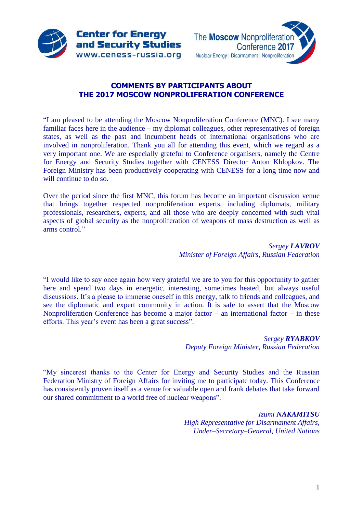



# **COMMENTS BY PARTICIPANTS ABOUT THE 2017 MOSCOW NONPROLIFERATION CONFERENCE**

"I am pleased to be attending the Moscow Nonproliferation Conference (MNC). I see many familiar faces here in the audience – my diplomat colleagues, other representatives of foreign states, as well as the past and incumbent heads of international organisations who are involved in nonproliferation. Thank you all for attending this event, which we regard as a very important one. We are especially grateful to Conference organisers, namely the Centre for Energy and Security Studies together with CENESS Director Anton Khlopkov. The Foreign Ministry has been productively cooperating with CENESS for a long time now and will continue to do so.

Over the period since the first MNС, this forum has become an important discussion venue that brings together respected nonproliferation experts, including diplomats, military professionals, researchers, experts, and all those who are deeply concerned with such vital aspects of global security as the nonproliferation of weapons of mass destruction as well as arms control."

> *Sergey LAVROV Minister of Foreign Affairs, Russian Federation*

"I would like to say once again how very grateful we are to you for this opportunity to gather here and spend two days in energetic, interesting, sometimes heated, but always useful discussions. It's a please to immerse oneself in this energy, talk to friends and colleagues, and see the diplomatic and expert community in action. It is safe to assert that the Moscow Nonproliferation Conference has become a major factor – an international factor – in these efforts. This year's event has been a great success".

> *Sergey RYABKOV Deputy Foreign Minister, Russian Federation*

"My sincerest thanks to the Center for Energy and Security Studies and the Russian Federation Ministry of Foreign Affairs for inviting me to participate today. This Conference has consistently proven itself as a venue for valuable open and frank debates that take forward our shared commitment to a world free of nuclear weapons".

> *Izumi NAKAMITSU High Representative for Disarmament Affairs, Under–Secretary–General, United Nations*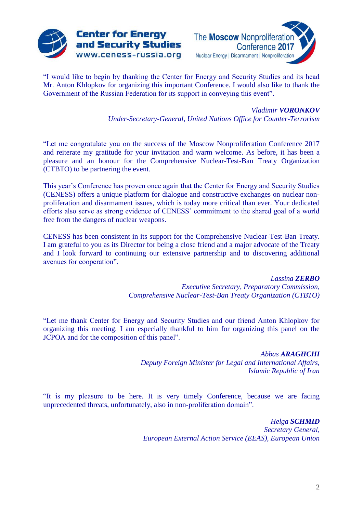



"I would like to begin by thanking the Center for Energy and Security Studies and its head Mr. Anton Khlopkov for organizing this important Conference. I would also like to thank the Government of the Russian Federation for its support in conveying this event".

*Vladimir VORONKOV*

*Under-Secretary-General, United Nations Office for Counter-Terrorism*

"Let me congratulate you on the success of the Moscow Nonproliferation Conference 2017 and reiterate my gratitude for your invitation and warm welcome. As before, it has been a pleasure and an honour for the Comprehensive Nuclear-Test-Ban Treaty Organization (CTBTO) to be partnering the event.

This year's Conference has proven once again that the Center for Energy and Security Studies (CENESS) offers a unique platform for dialogue and constructive exchanges on nuclear nonproliferation and disarmament issues, which is today more critical than ever. Your dedicated efforts also serve as strong evidence of CENESS' commitment to the shared goal of a world free from the dangers of nuclear weapons.

CENESS has been consistent in its support for the Comprehensive Nuclear-Test-Ban Treaty. I am grateful to you as its Director for being a close friend and a major advocate of the Treaty and I look forward to continuing our extensive partnership and to discovering additional avenues for cooperation".

> *Lassina ZERBO Executive Secretary, Preparatory Commission, Comprehensive Nuclear-Test-Ban Treaty Organization (CTBTO)*

"Let me thank Center for Energy and Security Studies and our friend Anton Khlopkov for organizing this meeting. I am especially thankful to him for organizing this panel on the JCPOA and for the composition of this panel".

> *Abbas ARAGHCHI Deputy Foreign Minister for Legal and International Affairs, Islamic Republic of Iran*

"It is my pleasure to be here. It is very timely Conference, because we are facing unprecedented threats, unfortunately, also in non-proliferation domain".

> *Helga SCHMID Secretary General, European External Action Service (EEAS), European Union*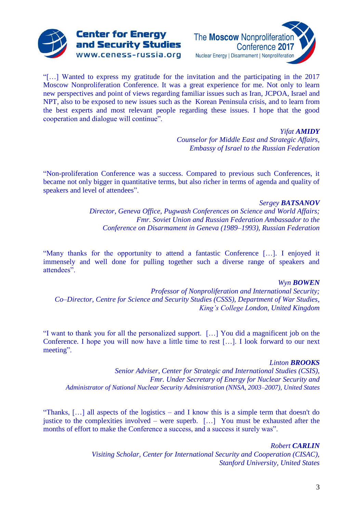



"[…] Wanted to express my gratitude for the invitation and the participating in the 2017 Moscow Nonproliferation Conference. It was a great experience for me. Not only to learn new perspectives and point of views regarding familiar issues such as Iran, JCPOA, Israel and NPT, also to be exposed to new issues such as the Korean Peninsula crisis, and to learn from the best experts and most relevant people regarding these issues. I hope that the good cooperation and dialogue will continue".

*Yifat AMIDY*

*Counselor for Middle East and Strategic Affairs, Embassy of Israel to the Russian Federation*

"Non-proliferation Conference was a success. Compared to previous such Conferences, it became not only bigger in quantitative terms, but also richer in terms of agenda and quality of speakers and level of attendees".

#### *Sergey BATSANOV*

*Director, Geneva Office, Pugwash Conferences on Science and World Affairs; Fmr. Soviet Union and Russian Federation Ambassador to the Conference on Disarmament in Geneva (1989–1993), Russian Federation*

"Many thanks for the opportunity to attend a fantastic Conference […]. I enjoyed it immensely and well done for pulling together such a diverse range of speakers and attendees".

#### *Wyn BOWEN*

*Professor of Nonproliferation and International Security; Co–Director, Centre for Science and Security Studies (CSSS), Department of War Studies, King's College London, United Kingdom*

"I want to thank you for all the personalized support. […] You did a magnificent job on the Conference. I hope you will now have a little time to rest […]. I look forward to our next meeting".

#### *Linton BROOKS*

*Senior Adviser, Center for Strategic and International Studies (CSIS), Fmr. Under Secretary of Energy for Nuclear Security and Administrator of National Nuclear Security Administration (NNSA, 2003–2007), United States*

"Thanks, […] all aspects of the logistics – and I know this is a simple term that doesn't do justice to the complexities involved – were superb.  $[\dots]$  You must be exhausted after the months of effort to make the Conference a success, and a success it surely was".

> *Robert CARLIN Visiting Scholar, Center for International Security and Cooperation (CISAC), Stanford University, United States*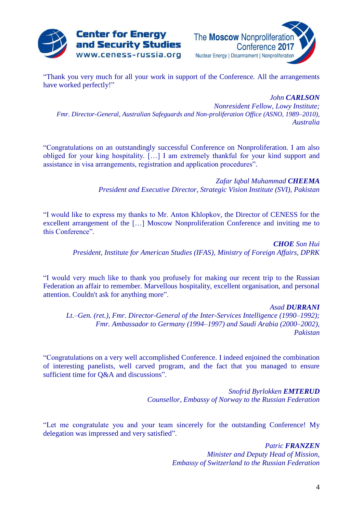



"Thank you very much for all your work in support of the Conference. All the arrangements have worked perfectly!"

*John CARLSON Nonresident Fellow, Lowy Institute; Fmr. Director-General, Australian Safeguards and Non-proliferation Office (ASNO, 1989–2010), Australia*

"Congratulations on an outstandingly successful Conference on Nonproliferation. I am also obliged for your king hospitality. […] I am extremely thankful for your kind support and assistance in visa arrangements, registration and application procedures".

> *Zafar Iqbal Muhammad CHEEMA President and Executive Director, Strategic Vision Institute (SVI), Pakistan*

"I would like to express my thanks to Mr. Anton Khlopkov, the Director of CENESS for the excellent arrangement of the […] Moscow Nonproliferation Conference and inviting me to this Conference".

> *CHOE Son Hui President, Institute for American Studies (IFAS), Ministry of Foreign Affairs, DPRK*

"I would very much like to thank you profusely for making our recent trip to the Russian Federation an affair to remember. Marvellous hospitality, excellent organisation, and personal attention. Couldn't ask for anything more".

*Asad DURRANI*

*Lt.–Gen. (ret.), Fmr. Director-General of the Inter-Services Intelligence (1990–1992); Fmr. Ambassador to Germany (1994–1997) and Saudi Arabia (2000–2002), Pakistan*

"Congratulations on a very well accomplished Conference. I indeed enjoined the combination of interesting panelists, well carved program, and the fact that you managed to ensure sufficient time for Q&A and discussions".

> *Snofrid Byrlokken EMTERUD Counsellor, Embassy of Norway to the Russian Federation*

"Let me congratulate you and your team sincerely for the outstanding Conference! My delegation was impressed and very satisfied".

> *Patric FRANZEN Minister and Deputy Head of Mission, Embassy of Switzerland to the Russian Federation*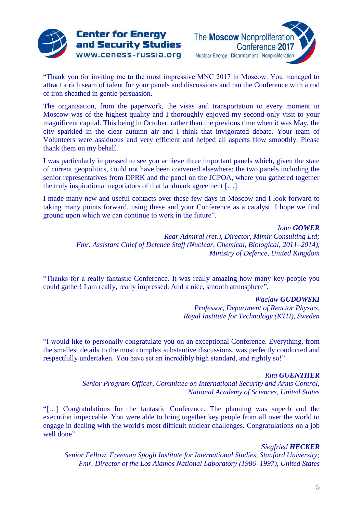

**Center for Energy** 

and Security Studies

www.ceness-russia.org

The **Moscow** Nonproliferatio Conference 2017 Nuclear Energy | Disarmament | Nonproliferation

"Thank you for inviting me to the most impressive MNC 2017 in Moscow. You managed to attract a rich seam of talent for your panels and discussions and ran the Conference with a rod of iron sheathed in gentle persuasion.

The organisation, from the paperwork, the visas and transportation to every moment in Moscow was of the highest quality and I thoroughly enjoyed my second-only visit to your magnificent capital. This being in October, rather than the previous time when it was May, the city sparkled in the clear autumn air and I think that invigorated debate. Your team of Volunteers were assiduous and very efficient and helped all aspects flow smoothly. Please thank them on my behalf.

I was particularly impressed to see you achieve three important panels which, given the state of current geopolitics, could not have been convened elsewhere: the two panels including the senior representatives from DPRK and the panel on the JCPOA, where you gathered together the truly inspirational negotiators of that landmark agreement […].

I made many new and useful contacts over these few days in Moscow and I look forward to taking many points forward, using these and your Conference as a catalyst. I hope we find ground upon which we can continue to work in the future".

> *John GOWER Rear Admiral (ret.), Director, Mimir Consulting Ltd; Fmr. Assistant Chief of Defence Staff (Nuclear, Chemical, Biological, 2011–2014), Ministry of Defence, United Kingdom*

"Thanks for a really fantastic Conference. It was really amazing how many key-people you could gather! I am really, really impressed. And a nice, smooth atmosphere".

## *Waclaw GUDOWSKI*

*Professor, Department of Reactor Physics, Royal Institute for Technology (KTH), Sweden*

"I would like to personally congratulate you on an exceptional Conference. Everything, from the smallest details to the most complex substantive discussions, was perfectly conducted and respectfully undertaken. You have set an incredibly high standard, and rightly so!"

## *Rita GUENTHER*

*Senior Program Officer, Committee on International Security and Arms Control, National Academy of Sciences, United States*

"[…] Congratulations for the fantastic Conference. The planning was superb and the execution impeccable. You were able to bring together key people from all over the world to engage in dealing with the world's most difficult nuclear challenges. Congratulations on a job well done".

## *Siegfried HECKER*

*Senior Fellow, Freeman Spogli Institute for International Studies, Stanford University; Fmr. Director of the Los Alamos National Laboratory (1986–1997), United States*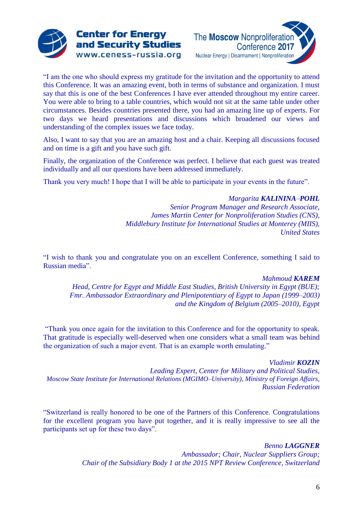



"I am the one who should express my gratitude for the invitation and the opportunity to attend this Conference. It was an amazing event, both in terms of substance and organization. I must say that this is one of the best Conferences I have ever attended throughout my entire career. You were able to bring to a table countries, which would not sit at the same table under other circumstances. Besides countries presented there, you had an amazing line up of experts. For two days we heard presentations and discussions which broadened our views and understanding of the complex issues we face today.

Also, I want to say that you are an amazing host and a chair. Keeping all discussions focused and on time is a gift and you have such gift.

Finally, the organization of the Conference was perfect. I believe that each guest was treated individually and all our questions have been addressed immediately.

Thank you very much! I hope that I will be able to participate in your events in the future".

## *Margarita KALININA–POHL*

*Senior Program Manager and Research Associate, James Martin Center for Nonproliferation Studies (CNS), Middlebury Institute for International Studies at Monterey (MIIS), United States*

"I wish to thank you and congratulate you on an excellent Conference, something I said to Russian media".

## *Mahmoud KAREM*

*Head, Centre for Egypt and Middle East Studies, British University in Egypt (BUE); Fmr. Ambassador Extraordinary and Plenipotentiary of Egypt to Japan (1999–2003) and the Kingdom of Belgium (2005–2010), Egypt*

"Thank you once again for the invitation to this Conference and for the opportunity to speak. That gratitude is especially well-deserved when one considers what a small team was behind the organization of such a major event. That is an example worth emulating."

*Vladimir KOZIN Leading Expert, Center for Military and Political Studies, Moscow State Institute for International Relations (MGIMO–University), Ministry of Foreign Affairs, Russian Federation*

"Switzerland is really honored to be one of the Partners of this Conference. Congratulations for the excellent program you have put together, and it is really impressive to see all the participants set up for these two days".

> *Benno LAGGNER Ambassador; Chair, Nuclear Suppliers Group; Chair of the Subsidiary Body 1 at the 2015 NPT Review Conference, Switzerland*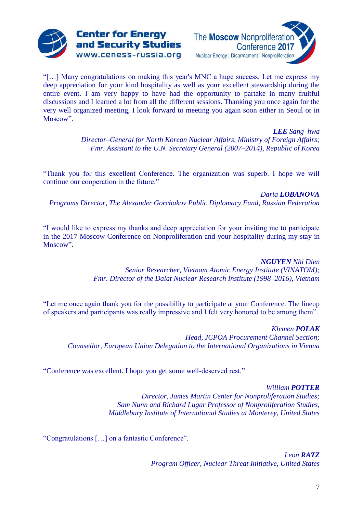



"[…] Many congratulations on making this year's MNC a huge success. Let me express my deep appreciation for your kind hospitality as well as your excellent stewardship during the entire event. I am very happy to have had the opportunity to partake in many fruitful discussions and I learned a lot from all the different sessions. Thanking you once again for the very well organized meeting, I look forward to meeting you again soon either in Seoul or in Moscow".

> *LEE Sang–hwa Director–General for North Korean Nuclear Affairs, Ministry of Foreign Affairs; Fmr. Assistant to the U.N. Secretary General (2007–2014), Republic of Korea*

"Thank you for this excellent Conference. The organization was superb. I hope we will continue our cooperation in the future."

*Daria LOBANOVA Programs Director, The Alexander Gorchakov Public Diplomacy Fund, Russian Federation*

"I would like to express my thanks and deep appreciation for your inviting me to participate in the 2017 Moscow Conference on Nonproliferation and your hospitality during my stay in Moscow".

> *NGUYEN Nhi Dien Senior Researcher, Vietnam Atomic Energy Institute (VINATOM); Fmr. Director of the Dalat Nuclear Research Institute (1998–2016), Vietnam*

"Let me once again thank you for the possibility to participate at your Conference. The lineup of speakers and participants was really impressive and I felt very honored to be among them".

*Klemen POLAK Head, JCPOA Procurement Channel Section; Counsellor, European Union Delegation to the International Organizations in Vienna*

"Conference was excellent. I hope you get some well-deserved rest."

*William POTTER*

*Director, James Martin Center for Nonproliferation Studies; Sam Nunn and Richard Lugar Professor of Nonproliferation Studies, Middlebury Institute of International Studies at Monterey, United States*

"Congratulations […] on a fantastic Conference".

*Leon RATZ Program Officer, Nuclear Threat Initiative, United States*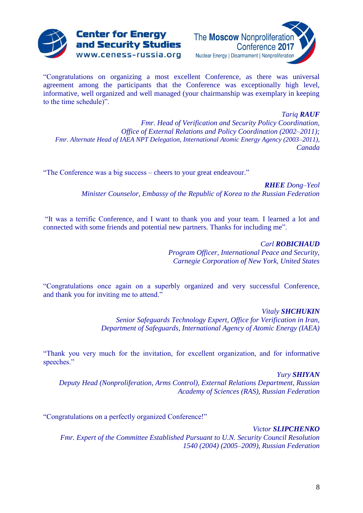



"Congratulations on organizing a most excellent Conference, as there was universal agreement among the participants that the Conference was exceptionally high level, informative, well organized and well managed (your chairmanship was exemplary in keeping to the time schedule)".

*Tariq RAUF Fmr. Head of Verification and Security Policy Coordination, Office of External Relations and Policy Coordination (2002–2011); Fmr. Alternate Head of IAEA NPT Delegation, International Atomic Energy Agency (2003–2011), Canada*

"The Conference was a big success – cheers to your great endeavour."

*RHEE Dong–Yeol Minister Counselor, Embassy of the Republic of Korea to the Russian Federation*

"It was a terrific Conference, and I want to thank you and your team. I learned a lot and connected with some friends and potential new partners. Thanks for including me".

> *Carl ROBICHAUD Program Officer, International Peace and Security, Carnegie Corporation of New York, United States*

"Congratulations once again on a superbly organized and very successful Conference, and thank you for inviting me to attend."

> *Vitaly SHCHUKIN Senior Safeguards Technology Expert, Office for Verification in Iran, Department of Safeguards, International Agency of Atomic Energy (IAEA)*

"Thank you very much for the invitation, for excellent organization, and for informative speeches."

*Yury SHIYAN Deputy Head (Nonproliferation, Arms Control), External Relations Department, Russian Academy of Sciences (RAS), Russian Federation*

"Congratulations on a perfectly organized Conference!"

*Victor SLIPCHENKO Fmr. Expert of the Committee Established Pursuant to U.N. Security Council Resolution 1540 (2004) (2005–2009), Russian Federation*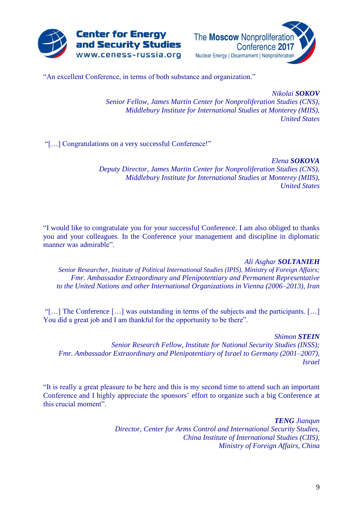



"An excellent Conference, in terms of both substance and organization."

*Nikolai SOKOV Senior Fellow, James Martin Center for Nonproliferation Studies (CNS), Middlebury Institute for International Studies at Monterey (MIIS), United States*

"[…] Congratulations on a very successful Conference!"

*Elena SOKOVA Deputy Director, James Martin Center for Nonproliferation Studies (CNS), Middlebury Institute for International Studies at Monterey (MIIS), United States*

"I would like to congratulate you for your successful Conference. I am also obliged to thanks you and your colleagues. In the Conference your management and discipline in diplomatic manner was admirable".

## *Ali Asghar SOLTANIEH*

*Senior Researcher, Institute of Political International Studies (IPIS), Ministry of Foreign Affairs; Fmr. Ambassador Extraordinary and Plenipotentiary and Permanent Representative to the United Nations and other International Organizations in Vienna (2006–2013), Iran*

"[…] The Conference […] was outstanding in terms of the subjects and the participants. […] You did a great job and I am thankful for the opportunity to be there".

*Shimon STEIN*

*Senior Research Fellow, Institute for National Security Studies (INSS); Fmr. Ambassador Extraordinary and Plenipotentiary of Israel to Germany (2001–2007), Israel*

"It is really a great pleasure to be here and this is my second time to attend such an important Conference and I highly appreciate the sponsors' effort to organize such a big Conference at this crucial moment".

> *TENG Jianqun Director, Center for Arms Control and International Security Studies, China Institute of International Studies (CIIS), Ministry of Foreign Affairs, China*